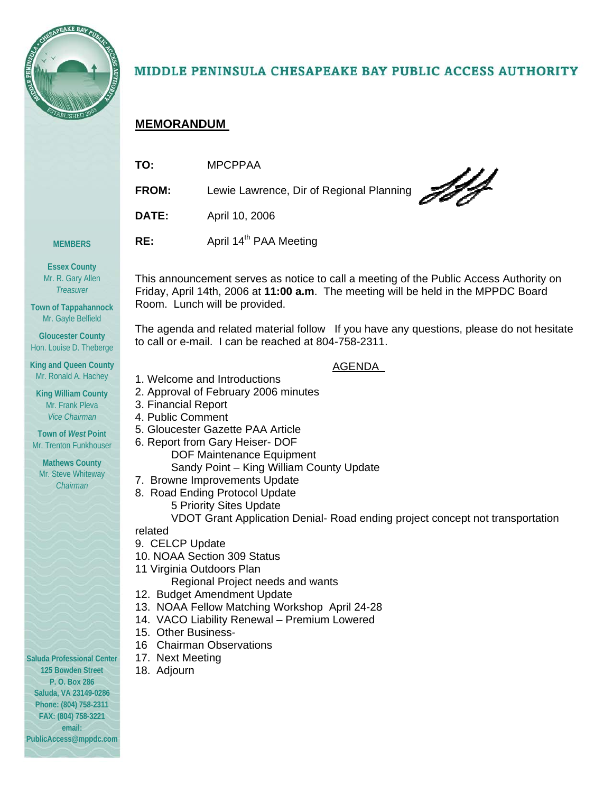

# MIDDLE PENINSULA CHESAPEAKE BAY PUBLIC ACCESS AUTHORITY

This announcement serves as notice to call a meeting of the Public Access Authority on Friday, April 14th, 2006 at **11:00 a.m**. The meeting will be held in the MPPDC Board

The agenda and related material follow If you have any questions, please do not hesitate

AGENDA

# **MEMORANDUM**

| TO:   | <b>MPCPPAA</b>                           |
|-------|------------------------------------------|
| FROM: | Lewie Lawrence, Dir of Regional Planning |
| DATE: | April 10, 2006                           |
| RE:   | April 14 <sup>th</sup> PAA Meeting       |

**Essex County**  Mr. R. Gary Allen

**MEMBERS** 

*Treasurer*  **Town of Tappahannock** 

Mr. Gayle Belfield

**Gloucester County**  Hon. Louise D. Theberge

**King and Queen County**  Mr. Ronald A. Hachey

**King William County**  Mr. Frank Pleva *Vice Chairman* 

**Town of** *West* **Point**  Mr. Trenton Funkhouser

**Mathews County**  Mr. Steve Whiteway *Chairman* 

1. Welcome and Introductions

Room. Lunch will be provided.

- 2. Approval of February 2006 minutes
- 3. Financial Report
- 4. Public Comment
- 5. Gloucester Gazette PAA Article
- 6. Report from Gary Heiser- DOF
	- DOF Maintenance Equipment
	- Sandy Point King William County Update

to call or e-mail. I can be reached at 804-758-2311.

- 7. Browne Improvements Update
- 8. Road Ending Protocol Update
	- 5 Priority Sites Update

VDOT Grant Application Denial- Road ending project concept not transportation

related

- 9. CELCP Update
- 10. NOAA Section 309 Status
- 11 Virginia Outdoors Plan

Regional Project needs and wants

- 12. Budget Amendment Update
- 13. NOAA Fellow Matching Workshop April 24-28
- 14. VACO Liability Renewal Premium Lowered
- 15. Other Business-
- 16 Chairman Observations
- 17. Next Meeting
- 18. Adjourn

**Saluda Professional Center 125 Bowden Street P. O. Box 286 Saluda, VA 23149-0286 Phone: (804) 758-2311 FAX: (804) 758-3221 email: PublicAccess@mppdc.com**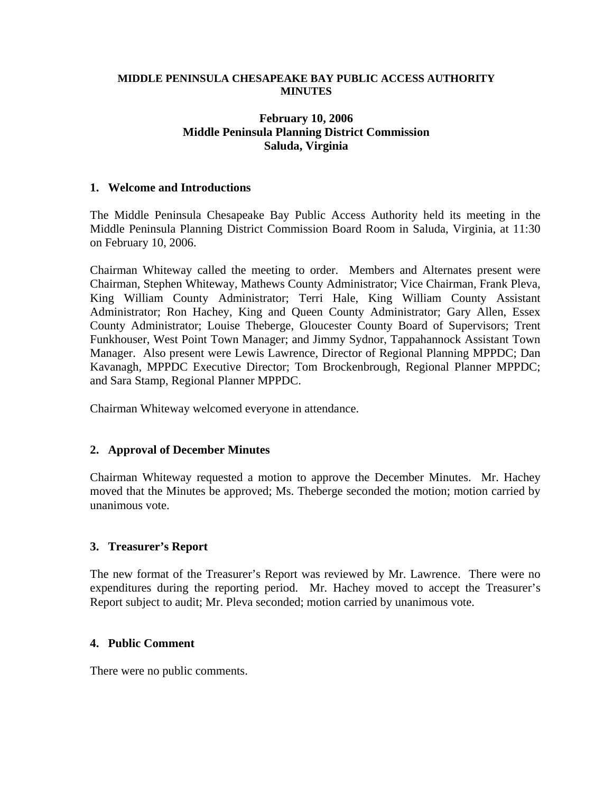#### **MIDDLE PENINSULA CHESAPEAKE BAY PUBLIC ACCESS AUTHORITY MINUTES**

## **February 10, 2006 Middle Peninsula Planning District Commission Saluda, Virginia**

## **1. Welcome and Introductions**

The Middle Peninsula Chesapeake Bay Public Access Authority held its meeting in the Middle Peninsula Planning District Commission Board Room in Saluda, Virginia, at 11:30 on February 10, 2006.

Chairman Whiteway called the meeting to order. Members and Alternates present were Chairman, Stephen Whiteway, Mathews County Administrator; Vice Chairman, Frank Pleva, King William County Administrator; Terri Hale, King William County Assistant Administrator; Ron Hachey, King and Queen County Administrator; Gary Allen, Essex County Administrator; Louise Theberge, Gloucester County Board of Supervisors; Trent Funkhouser, West Point Town Manager; and Jimmy Sydnor, Tappahannock Assistant Town Manager. Also present were Lewis Lawrence, Director of Regional Planning MPPDC; Dan Kavanagh, MPPDC Executive Director; Tom Brockenbrough, Regional Planner MPPDC; and Sara Stamp, Regional Planner MPPDC.

Chairman Whiteway welcomed everyone in attendance.

#### **2. Approval of December Minutes**

Chairman Whiteway requested a motion to approve the December Minutes. Mr. Hachey moved that the Minutes be approved; Ms. Theberge seconded the motion; motion carried by unanimous vote.

#### **3. Treasurer's Report**

The new format of the Treasurer's Report was reviewed by Mr. Lawrence. There were no expenditures during the reporting period. Mr. Hachey moved to accept the Treasurer's Report subject to audit; Mr. Pleva seconded; motion carried by unanimous vote.

#### **4. Public Comment**

There were no public comments.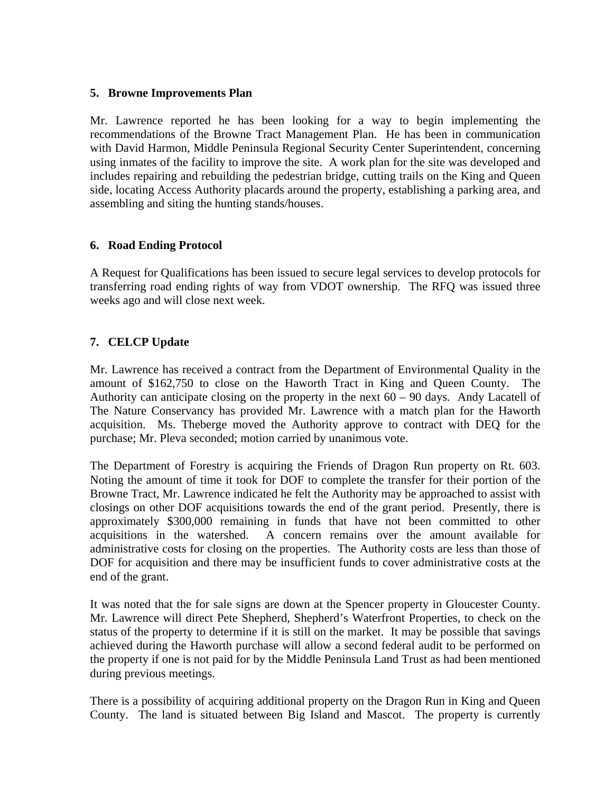## **5. Browne Improvements Plan**

Mr. Lawrence reported he has been looking for a way to begin implementing the recommendations of the Browne Tract Management Plan. He has been in communication with David Harmon, Middle Peninsula Regional Security Center Superintendent, concerning using inmates of the facility to improve the site. A work plan for the site was developed and includes repairing and rebuilding the pedestrian bridge, cutting trails on the King and Queen side, locating Access Authority placards around the property, establishing a parking area, and assembling and siting the hunting stands/houses.

## **6. Road Ending Protocol**

A Request for Qualifications has been issued to secure legal services to develop protocols for transferring road ending rights of way from VDOT ownership. The RFQ was issued three weeks ago and will close next week.

## **7. CELCP Update**

Mr. Lawrence has received a contract from the Department of Environmental Quality in the amount of \$162,750 to close on the Haworth Tract in King and Queen County. The Authority can anticipate closing on the property in the next  $60 - 90$  days. Andy Lacatell of The Nature Conservancy has provided Mr. Lawrence with a match plan for the Haworth acquisition. Ms. Theberge moved the Authority approve to contract with DEQ for the purchase; Mr. Pleva seconded; motion carried by unanimous vote.

The Department of Forestry is acquiring the Friends of Dragon Run property on Rt. 603. Noting the amount of time it took for DOF to complete the transfer for their portion of the Browne Tract, Mr. Lawrence indicated he felt the Authority may be approached to assist with closings on other DOF acquisitions towards the end of the grant period. Presently, there is approximately \$300,000 remaining in funds that have not been committed to other acquisitions in the watershed. A concern remains over the amount available for administrative costs for closing on the properties. The Authority costs are less than those of DOF for acquisition and there may be insufficient funds to cover administrative costs at the end of the grant.

It was noted that the for sale signs are down at the Spencer property in Gloucester County. Mr. Lawrence will direct Pete Shepherd, Shepherd's Waterfront Properties, to check on the status of the property to determine if it is still on the market. It may be possible that savings achieved during the Haworth purchase will allow a second federal audit to be performed on the property if one is not paid for by the Middle Peninsula Land Trust as had been mentioned during previous meetings.

There is a possibility of acquiring additional property on the Dragon Run in King and Queen County. The land is situated between Big Island and Mascot. The property is currently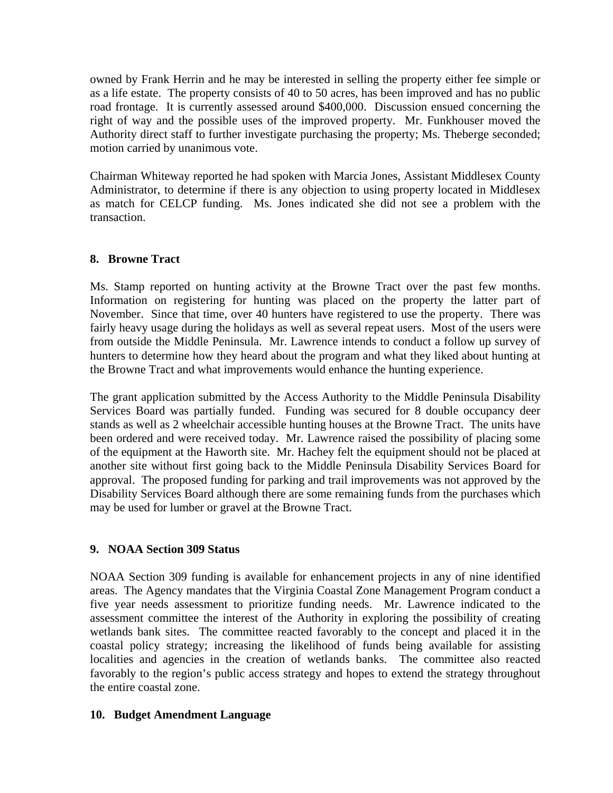owned by Frank Herrin and he may be interested in selling the property either fee simple or as a life estate. The property consists of 40 to 50 acres, has been improved and has no public road frontage. It is currently assessed around \$400,000. Discussion ensued concerning the right of way and the possible uses of the improved property. Mr. Funkhouser moved the Authority direct staff to further investigate purchasing the property; Ms. Theberge seconded; motion carried by unanimous vote.

Chairman Whiteway reported he had spoken with Marcia Jones, Assistant Middlesex County Administrator, to determine if there is any objection to using property located in Middlesex as match for CELCP funding. Ms. Jones indicated she did not see a problem with the transaction.

## **8. Browne Tract**

Ms. Stamp reported on hunting activity at the Browne Tract over the past few months. Information on registering for hunting was placed on the property the latter part of November. Since that time, over 40 hunters have registered to use the property. There was fairly heavy usage during the holidays as well as several repeat users. Most of the users were from outside the Middle Peninsula. Mr. Lawrence intends to conduct a follow up survey of hunters to determine how they heard about the program and what they liked about hunting at the Browne Tract and what improvements would enhance the hunting experience.

The grant application submitted by the Access Authority to the Middle Peninsula Disability Services Board was partially funded. Funding was secured for 8 double occupancy deer stands as well as 2 wheelchair accessible hunting houses at the Browne Tract. The units have been ordered and were received today. Mr. Lawrence raised the possibility of placing some of the equipment at the Haworth site. Mr. Hachey felt the equipment should not be placed at another site without first going back to the Middle Peninsula Disability Services Board for approval. The proposed funding for parking and trail improvements was not approved by the Disability Services Board although there are some remaining funds from the purchases which may be used for lumber or gravel at the Browne Tract.

#### **9. NOAA Section 309 Status**

NOAA Section 309 funding is available for enhancement projects in any of nine identified areas. The Agency mandates that the Virginia Coastal Zone Management Program conduct a five year needs assessment to prioritize funding needs. Mr. Lawrence indicated to the assessment committee the interest of the Authority in exploring the possibility of creating wetlands bank sites. The committee reacted favorably to the concept and placed it in the coastal policy strategy; increasing the likelihood of funds being available for assisting localities and agencies in the creation of wetlands banks. The committee also reacted favorably to the region's public access strategy and hopes to extend the strategy throughout the entire coastal zone.

#### **10. Budget Amendment Language**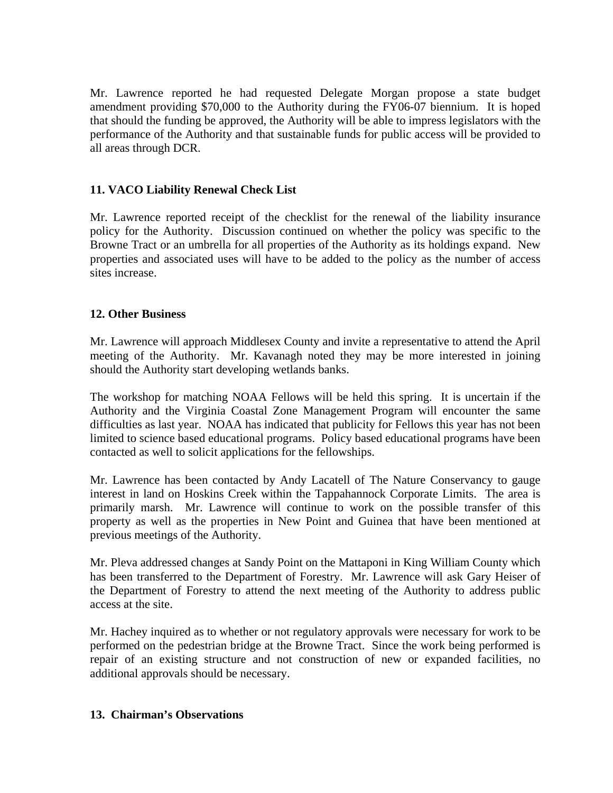Mr. Lawrence reported he had requested Delegate Morgan propose a state budget amendment providing \$70,000 to the Authority during the FY06-07 biennium. It is hoped that should the funding be approved, the Authority will be able to impress legislators with the performance of the Authority and that sustainable funds for public access will be provided to all areas through DCR.

## **11. VACO Liability Renewal Check List**

Mr. Lawrence reported receipt of the checklist for the renewal of the liability insurance policy for the Authority. Discussion continued on whether the policy was specific to the Browne Tract or an umbrella for all properties of the Authority as its holdings expand. New properties and associated uses will have to be added to the policy as the number of access sites increase.

## **12. Other Business**

Mr. Lawrence will approach Middlesex County and invite a representative to attend the April meeting of the Authority. Mr. Kavanagh noted they may be more interested in joining should the Authority start developing wetlands banks.

The workshop for matching NOAA Fellows will be held this spring. It is uncertain if the Authority and the Virginia Coastal Zone Management Program will encounter the same difficulties as last year. NOAA has indicated that publicity for Fellows this year has not been limited to science based educational programs. Policy based educational programs have been contacted as well to solicit applications for the fellowships.

Mr. Lawrence has been contacted by Andy Lacatell of The Nature Conservancy to gauge interest in land on Hoskins Creek within the Tappahannock Corporate Limits. The area is primarily marsh. Mr. Lawrence will continue to work on the possible transfer of this property as well as the properties in New Point and Guinea that have been mentioned at previous meetings of the Authority.

Mr. Pleva addressed changes at Sandy Point on the Mattaponi in King William County which has been transferred to the Department of Forestry. Mr. Lawrence will ask Gary Heiser of the Department of Forestry to attend the next meeting of the Authority to address public access at the site.

Mr. Hachey inquired as to whether or not regulatory approvals were necessary for work to be performed on the pedestrian bridge at the Browne Tract. Since the work being performed is repair of an existing structure and not construction of new or expanded facilities, no additional approvals should be necessary.

#### **13. Chairman's Observations**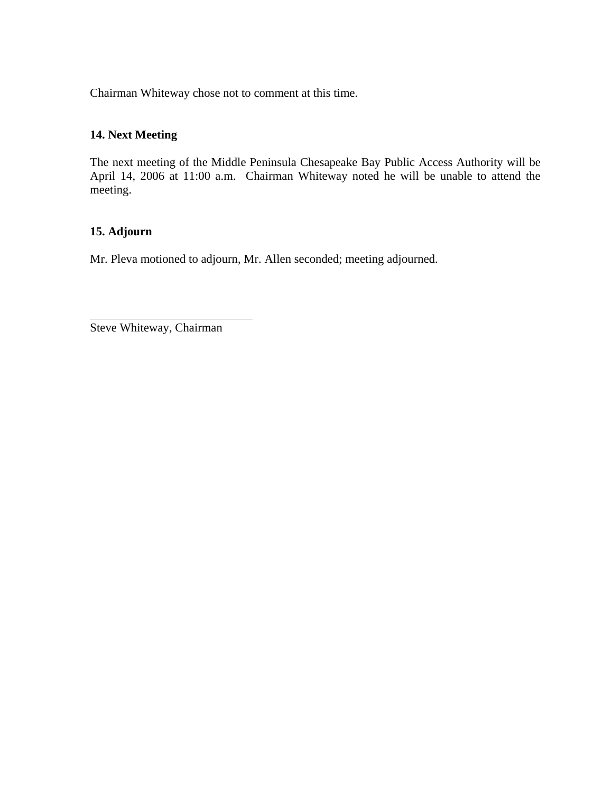Chairman Whiteway chose not to comment at this time.

# **14. Next Meeting**

The next meeting of the Middle Peninsula Chesapeake Bay Public Access Authority will be April 14, 2006 at 11:00 a.m. Chairman Whiteway noted he will be unable to attend the meeting.

## **15. Adjourn**

Mr. Pleva motioned to adjourn, Mr. Allen seconded; meeting adjourned.

Steve Whiteway, Chairman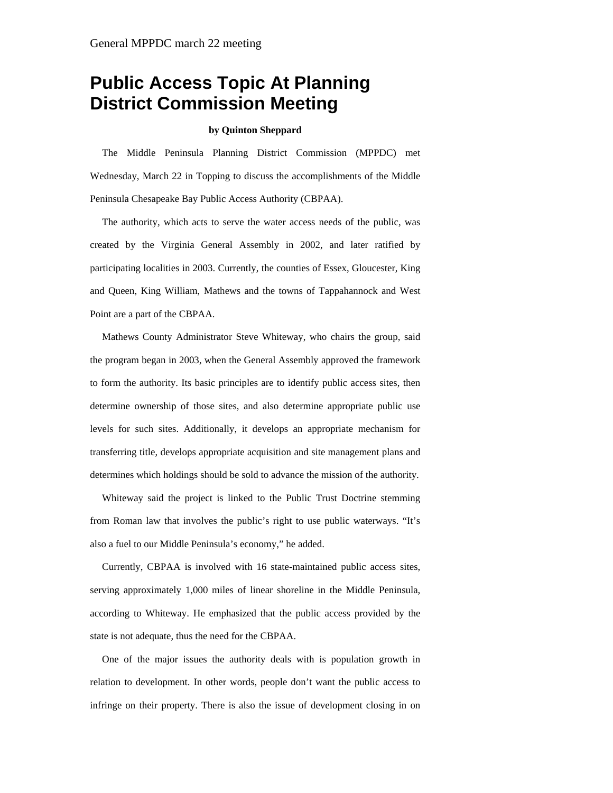# **Public Access Topic At Planning District Commission Meeting**

#### **by Quinton Sheppard**

The Middle Peninsula Planning District Commission (MPPDC) met Wednesday, March 22 in Topping to discuss the accomplishments of the Middle Peninsula Chesapeake Bay Public Access Authority (CBPAA).

The authority, which acts to serve the water access needs of the public, was created by the Virginia General Assembly in 2002, and later ratified by participating localities in 2003. Currently, the counties of Essex, Gloucester, King and Queen, King William, Mathews and the towns of Tappahannock and West Point are a part of the CBPAA.

Mathews County Administrator Steve Whiteway, who chairs the group, said the program began in 2003, when the General Assembly approved the framework to form the authority. Its basic principles are to identify public access sites, then determine ownership of those sites, and also determine appropriate public use levels for such sites. Additionally, it develops an appropriate mechanism for transferring title, develops appropriate acquisition and site management plans and determines which holdings should be sold to advance the mission of the authority.

Whiteway said the project is linked to the Public Trust Doctrine stemming from Roman law that involves the public's right to use public waterways. "It's also a fuel to our Middle Peninsula's economy," he added.

Currently, CBPAA is involved with 16 state-maintained public access sites, serving approximately 1,000 miles of linear shoreline in the Middle Peninsula, according to Whiteway. He emphasized that the public access provided by the state is not adequate, thus the need for the CBPAA.

One of the major issues the authority deals with is population growth in relation to development. In other words, people don't want the public access to infringe on their property. There is also the issue of development closing in on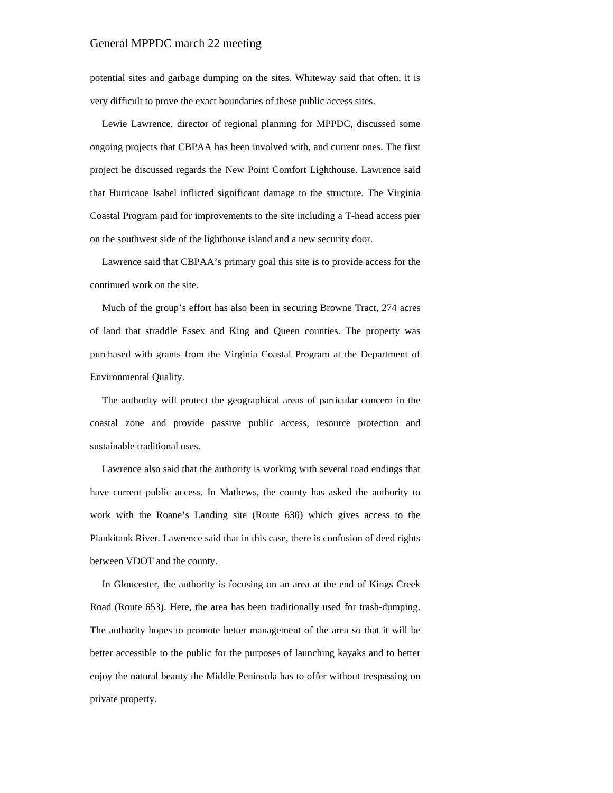#### General MPPDC march 22 meeting

potential sites and garbage dumping on the sites. Whiteway said that often, it is very difficult to prove the exact boundaries of these public access sites.

Lewie Lawrence, director of regional planning for MPPDC, discussed some ongoing projects that CBPAA has been involved with, and current ones. The first project he discussed regards the New Point Comfort Lighthouse. Lawrence said that Hurricane Isabel inflicted significant damage to the structure. The Virginia Coastal Program paid for improvements to the site including a T-head access pier on the southwest side of the lighthouse island and a new security door.

Lawrence said that CBPAA's primary goal this site is to provide access for the continued work on the site.

Much of the group's effort has also been in securing Browne Tract, 274 acres of land that straddle Essex and King and Queen counties. The property was purchased with grants from the Virginia Coastal Program at the Department of Environmental Quality.

The authority will protect the geographical areas of particular concern in the coastal zone and provide passive public access, resource protection and sustainable traditional uses.

Lawrence also said that the authority is working with several road endings that have current public access. In Mathews, the county has asked the authority to work with the Roane's Landing site (Route 630) which gives access to the Piankitank River. Lawrence said that in this case, there is confusion of deed rights between VDOT and the county.

In Gloucester, the authority is focusing on an area at the end of Kings Creek Road (Route 653). Here, the area has been traditionally used for trash-dumping. The authority hopes to promote better management of the area so that it will be better accessible to the public for the purposes of launching kayaks and to better enjoy the natural beauty the Middle Peninsula has to offer without trespassing on private property.